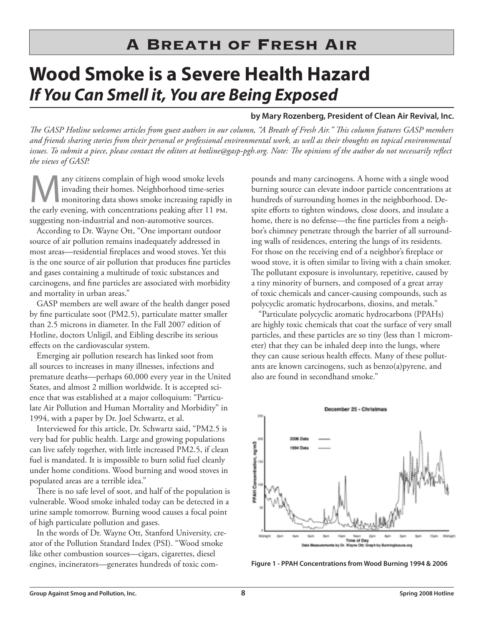## **Wood Smoke is a Severe Health Hazard If You Can Smell it, You are Being Exposed**

## **by Mary Rozenberg, President of Clean Air Revival, Inc.**

*The GASP Hotline welcomes articles from guest authors in our column, "A Breath of Fresh Air." This column features GASP members and friends sharing stories from their personal or professional environmental work, as well as their thoughts on topical environmental issues. To submit a piece, please contact the editors at hotline@gasp-pgh.org. Note: The opinions of the author do not necessarily reflect the views of GASP.*

Many citizens complain of high wood smoke levels<br>invading their homes. Neighborhood time-series<br>monitoring data shows smoke increasing rapidly is<br>the early evening with concentrations peaking after 11 pM invading their homes. Neighborhood time-series monitoring data shows smoke increasing rapidly in the early evening, with concentrations peaking after 11 PM. suggesting non-industrial and non-automotive sources.

According to Dr. Wayne Ott, "One important outdoor source of air pollution remains inadequately addressed in most areas—residential fireplaces and wood stoves. Yet this is the one source of air pollution that produces fine particles and gases containing a multitude of toxic substances and carcinogens, and fine particles are associated with morbidity and mortality in urban areas."

GASP members are well aware of the health danger posed by fine particulate soot (PM2.5), particulate matter smaller than 2.5 microns in diameter. In the Fall 2007 edition of Hotline, doctors Unligil, and Eibling describe its serious effects on the cardiovascular system.

Emerging air pollution research has linked soot from all sources to increases in many illnesses, infections and premature deaths—perhaps 60,000 every year in the United States, and almost 2 million worldwide. It is accepted science that was established at a major colloquium: "Particulate Air Pollution and Human Mortality and Morbidity" in 1994, with a paper by Dr. Joel Schwartz, et al.

Interviewed for this article, Dr. Schwartz said, "PM2.5 is very bad for public health. Large and growing populations can live safely together, with little increased PM2.5, if clean fuel is mandated. It is impossible to burn solid fuel cleanly under home conditions. Wood burning and wood stoves in populated areas are a terrible idea."

There is no safe level of soot, and half of the population is vulnerable. Wood smoke inhaled today can be detected in a urine sample tomorrow. Burning wood causes a focal point of high particulate pollution and gases.

In the words of Dr. Wayne Ott, Stanford University, creator of the Pollution Standard Index (PSI). "Wood smoke like other combustion sources—cigars, cigarettes, diesel engines, incinerators—generates hundreds of toxic com-

pounds and many carcinogens. A home with a single wood burning source can elevate indoor particle concentrations at hundreds of surrounding homes in the neighborhood. Despite efforts to tighten windows, close doors, and insulate a home, there is no defense—the fine particles from a neighbor's chimney penetrate through the barrier of all surrounding walls of residences, entering the lungs of its residents. For those on the receiving end of a neighbor's fireplace or wood stove, it is often similar to living with a chain smoker. The pollutant exposure is involuntary, repetitive, caused by a tiny minority of burners, and composed of a great array of toxic chemicals and cancer-causing compounds, such as polycyclic aromatic hydrocarbons, dioxins, and metals."

"Particulate polycyclic aromatic hydrocarbons (PPAHs) are highly toxic chemicals that coat the surface of very small particles, and these particles are so tiny (less than 1 micrometer) that they can be inhaled deep into the lungs, where they can cause serious health effects. Many of these pollutants are known carcinogens, such as benzo(a)pyrene, and also are found in secondhand smoke."



**Figure 1 - PPAH Concentrations from Wood Burning 1994 & 2006**